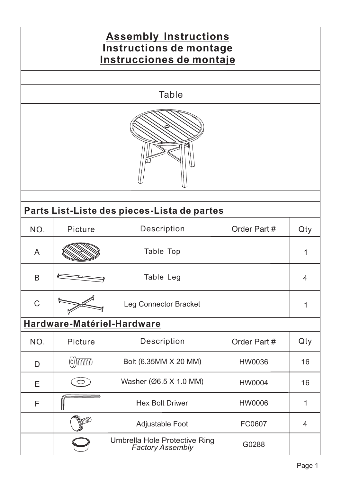## NO. Picture Description | Order Part # Qty A B C Table Top Table Leg Leg Connector Bracket 1 1 4 Order Part # **Assembly Instructions Instructions de montage Instrucciones de montaje Table Parts List-Liste des pieces-Lista de partes Hardware-Matériel-Hardware**

| NO. | Picture | <b>Description</b>                                       | Order Part #  | Qty |
|-----|---------|----------------------------------------------------------|---------------|-----|
| D   |         | Bolt (6.35MM X 20 MM)                                    | <b>HW0036</b> | 16  |
| Е   |         | Washer (Ø6.5 X 1.0 MM)                                   | <b>HW0004</b> | 16  |
| F   |         | <b>Hex Bolt Driwer</b>                                   | <b>HW0006</b> |     |
|     |         | <b>Adjustable Foot</b>                                   | FC0607        |     |
|     |         | Umbrella Hole Protective Ring<br><b>Factory Assembly</b> | G0288         |     |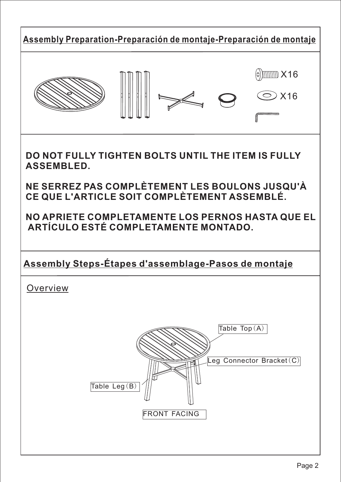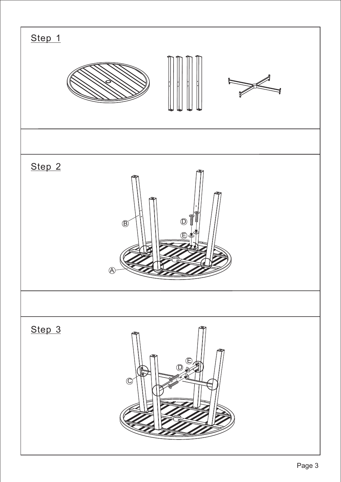